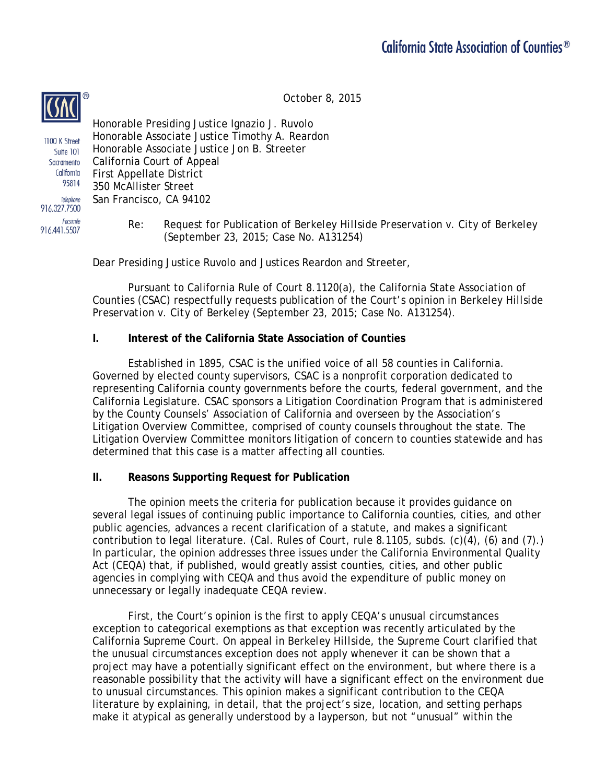October 8, 2015



Facsimile 916.441.5507

Honorable Presiding Justice Ignazio J. Ruvolo Honorable Associate Justice Timothy A. Reardon 1100 K Street Honorable Associate Justice Jon B. Streeter Suite 101 Sacramento California Court of Appeal California First Appellate District 95814 350 McAllister Street Telephone San Francisco, CA 94102 916.327.7500

> Re: Request for Publication of *Berkeley Hillside Preservation v. City of Berkeley* (September 23, 2015; Case No. A131254)

Dear Presiding Justice Ruvolo and Justices Reardon and Streeter,

Pursuant to California Rule of Court 8.1120(a), the California State Association of Counties (CSAC) respectfully requests publication of the Court's opinion in *Berkeley Hillside Preservation v. City of Berkeley* (September 23, 2015; Case No. A131254).

## **I. Interest of the California State Association of Counties**

Established in 1895, CSAC is the unified voice of all 58 counties in California. Governed by elected county supervisors, CSAC is a nonprofit corporation dedicated to representing California county governments before the courts, federal government, and the California Legislature. CSAC sponsors a Litigation Coordination Program that is administered by the County Counsels' Association of California and overseen by the Association's Litigation Overview Committee, comprised of county counsels throughout the state. The Litigation Overview Committee monitors litigation of concern to counties statewide and has determined that this case is a matter affecting all counties.

## **II. Reasons Supporting Request for Publication**

The opinion meets the criteria for publication because it provides guidance on several legal issues of continuing public importance to California counties, cities, and other public agencies, advances a recent clarification of a statute, and makes a significant contribution to legal literature. (Cal. Rules of Court, rule 8.1105, subds. (c)(4), (6) and (7).) In particular, the opinion addresses three issues under the California Environmental Quality Act (CEQA) that, if published, would greatly assist counties, cities, and other public agencies in complying with CEQA and thus avoid the expenditure of public money on unnecessary or legally inadequate CEQA review.

First, the Court's opinion is the first to apply CEQA's unusual circumstances exception to categorical exemptions as that exception was recently articulated by the California Supreme Court. On appeal in *Berkeley Hillside*, the Supreme Court clarified that the unusual circumstances exception does not apply whenever it can be shown that a project may have a potentially significant effect on the environment, but where there is a reasonable possibility that the activity will have a significant effect on the environment due to unusual circumstances. This opinion makes a significant contribution to the CEQA literature by explaining, in detail, that the project's size, location, and setting perhaps make it atypical as generally understood by a layperson, but not "unusual" within the